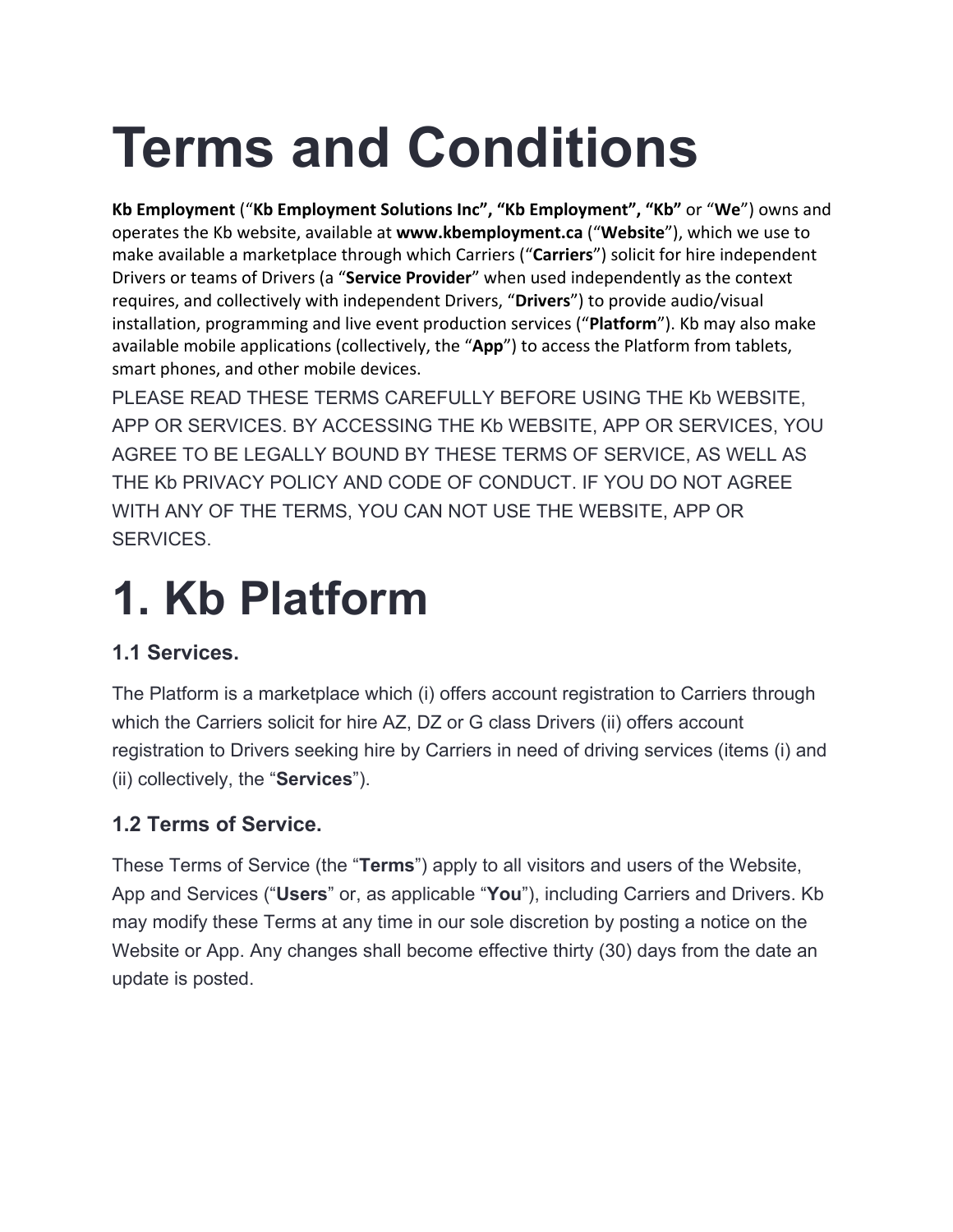# **Terms and Conditions**

**Kb Employment** ("**Kb Employment Solutions Inc", "Kb Employment", "Kb"** or "**We**") owns and operates the Kb website, available at **www.kbemployment.ca** ("**Website**"), which we use to make available a marketplace through which Carriers ("**Carriers**") solicit for hire independent Drivers or teams of Drivers (a "**Service Provider**" when used independently as the context requires, and collectively with independent Drivers, "**Drivers**") to provide audio/visual installation, programming and live event production services ("**Platform**"). Kb may also make available mobile applications (collectively, the "**App**") to access the Platform from tablets, smart phones, and other mobile devices.

PLEASE READ THESE TERMS CAREFULLY BEFORE USING THE Kb WEBSITE, APP OR SERVICES. BY ACCESSING THE Kb WEBSITE, APP OR SERVICES, YOU AGREE TO BE LEGALLY BOUND BY THESE TERMS OF SERVICE, AS WELL AS THE Kb PRIVACY POLICY AND CODE OF CONDUCT. IF YOU DO NOT AGREE WITH ANY OF THE TERMS, YOU CAN NOT USE THE WEBSITE, APP OR SERVICES.

### **1. Kb Platform**

#### **1.1 Services.**

The Platform is a marketplace which (i) offers account registration to Carriers through which the Carriers solicit for hire AZ, DZ or G class Drivers (ii) offers account registration to Drivers seeking hire by Carriers in need of driving services (items (i) and (ii) collectively, the "**Services**").

#### **1.2 Terms of Service.**

These Terms of Service (the "**Terms**") apply to all visitors and users of the Website, App and Services ("**Users**" or, as applicable "**You**"), including Carriers and Drivers. Kb may modify these Terms at any time in our sole discretion by posting a notice on the Website or App. Any changes shall become effective thirty (30) days from the date an update is posted.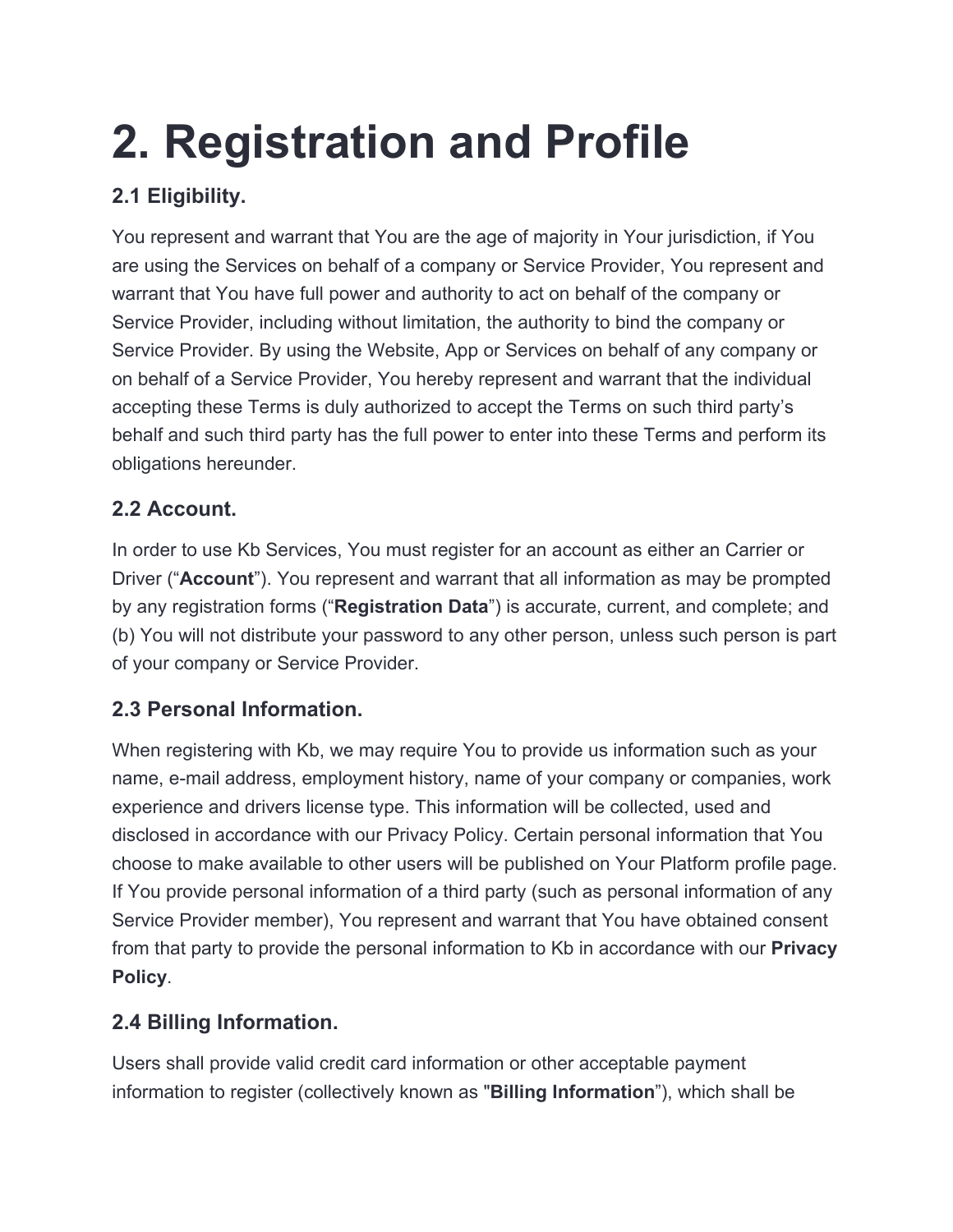## **2. Registration and Profile**

#### **2.1 Eligibility.**

You represent and warrant that You are the age of majority in Your jurisdiction, if You are using the Services on behalf of a company or Service Provider, You represent and warrant that You have full power and authority to act on behalf of the company or Service Provider, including without limitation, the authority to bind the company or Service Provider. By using the Website, App or Services on behalf of any company or on behalf of a Service Provider, You hereby represent and warrant that the individual accepting these Terms is duly authorized to accept the Terms on such third party's behalf and such third party has the full power to enter into these Terms and perform its obligations hereunder.

#### **2.2 Account.**

In order to use Kb Services, You must register for an account as either an Carrier or Driver ("**Account**"). You represent and warrant that all information as may be prompted by any registration forms ("**Registration Data**") is accurate, current, and complete; and (b) You will not distribute your password to any other person, unless such person is part of your company or Service Provider.

#### **2.3 Personal Information.**

When registering with Kb, we may require You to provide us information such as your name, e-mail address, employment history, name of your company or companies, work experience and drivers license type. This information will be collected, used and disclosed in accordance with our Privacy Policy. Certain personal information that You choose to make available to other users will be published on Your Platform profile page. If You provide personal information of a third party (such as personal information of any Service Provider member), You represent and warrant that You have obtained consent from that party to provide the personal information to Kb in accordance with our **Privacy Policy**.

#### **2.4 Billing Information.**

Users shall provide valid credit card information or other acceptable payment information to register (collectively known as "**Billing Information**"), which shall be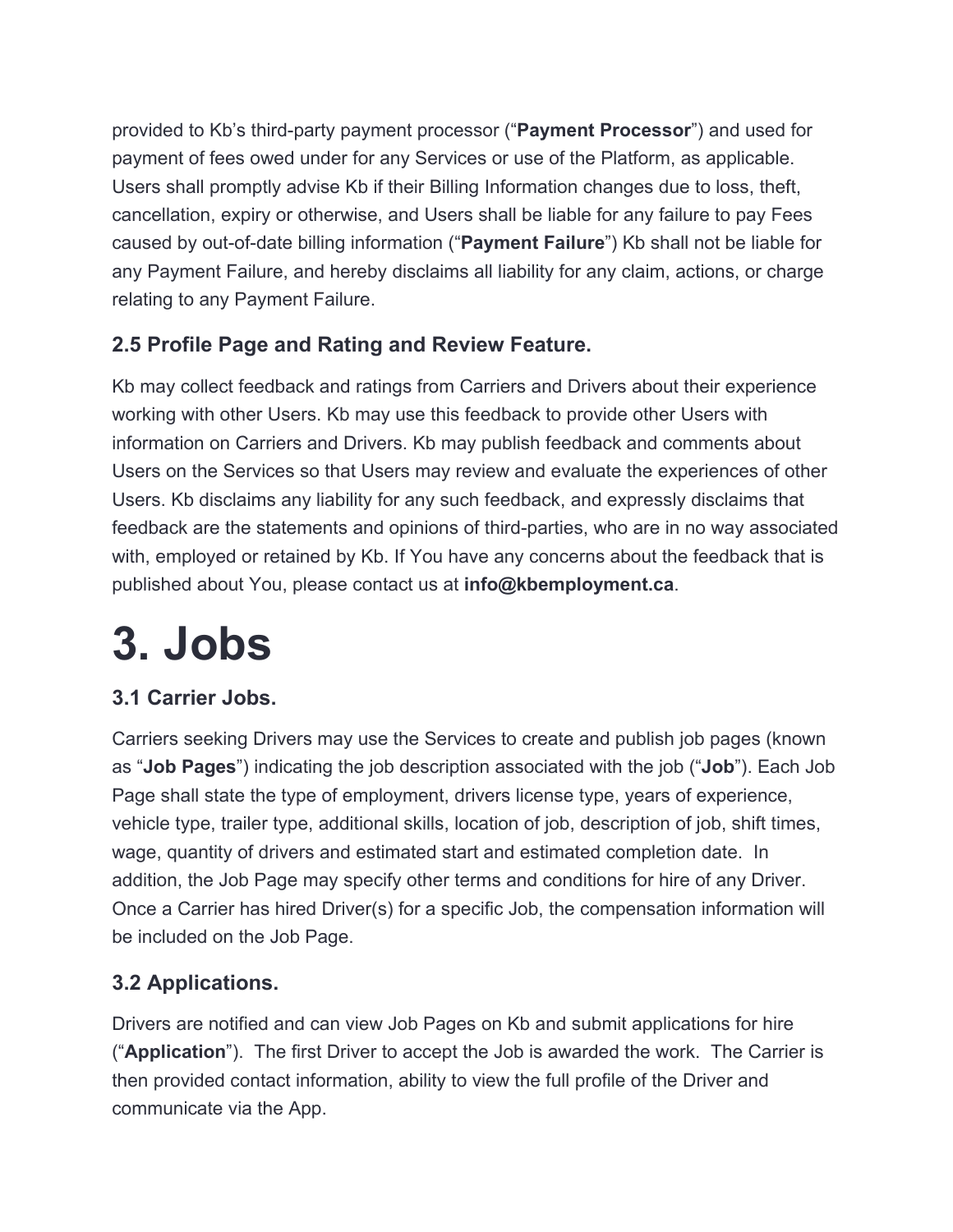provided to Kb's third-party payment processor ("**Payment Processor**") and used for payment of fees owed under for any Services or use of the Platform, as applicable. Users shall promptly advise Kb if their Billing Information changes due to loss, theft, cancellation, expiry or otherwise, and Users shall be liable for any failure to pay Fees caused by out-of-date billing information ("**Payment Failure**") Kb shall not be liable for any Payment Failure, and hereby disclaims all liability for any claim, actions, or charge relating to any Payment Failure.

#### **2.5 Profile Page and Rating and Review Feature.**

Kb may collect feedback and ratings from Carriers and Drivers about their experience working with other Users. Kb may use this feedback to provide other Users with information on Carriers and Drivers. Kb may publish feedback and comments about Users on the Services so that Users may review and evaluate the experiences of other Users. Kb disclaims any liability for any such feedback, and expressly disclaims that feedback are the statements and opinions of third-parties, who are in no way associated with, employed or retained by Kb. If You have any concerns about the feedback that is published about You, please contact us at **info@kbemployment.ca**.

### **3. Jobs**

#### **3.1 Carrier Jobs.**

Carriers seeking Drivers may use the Services to create and publish job pages (known as "**Job Pages**") indicating the job description associated with the job ("**Job**"). Each Job Page shall state the type of employment, drivers license type, years of experience, vehicle type, trailer type, additional skills, location of job, description of job, shift times, wage, quantity of drivers and estimated start and estimated completion date. In addition, the Job Page may specify other terms and conditions for hire of any Driver. Once a Carrier has hired Driver(s) for a specific Job, the compensation information will be included on the Job Page.

#### **3.2 Applications.**

Drivers are notified and can view Job Pages on Kb and submit applications for hire ("**Application**"). The first Driver to accept the Job is awarded the work. The Carrier is then provided contact information, ability to view the full profile of the Driver and communicate via the App.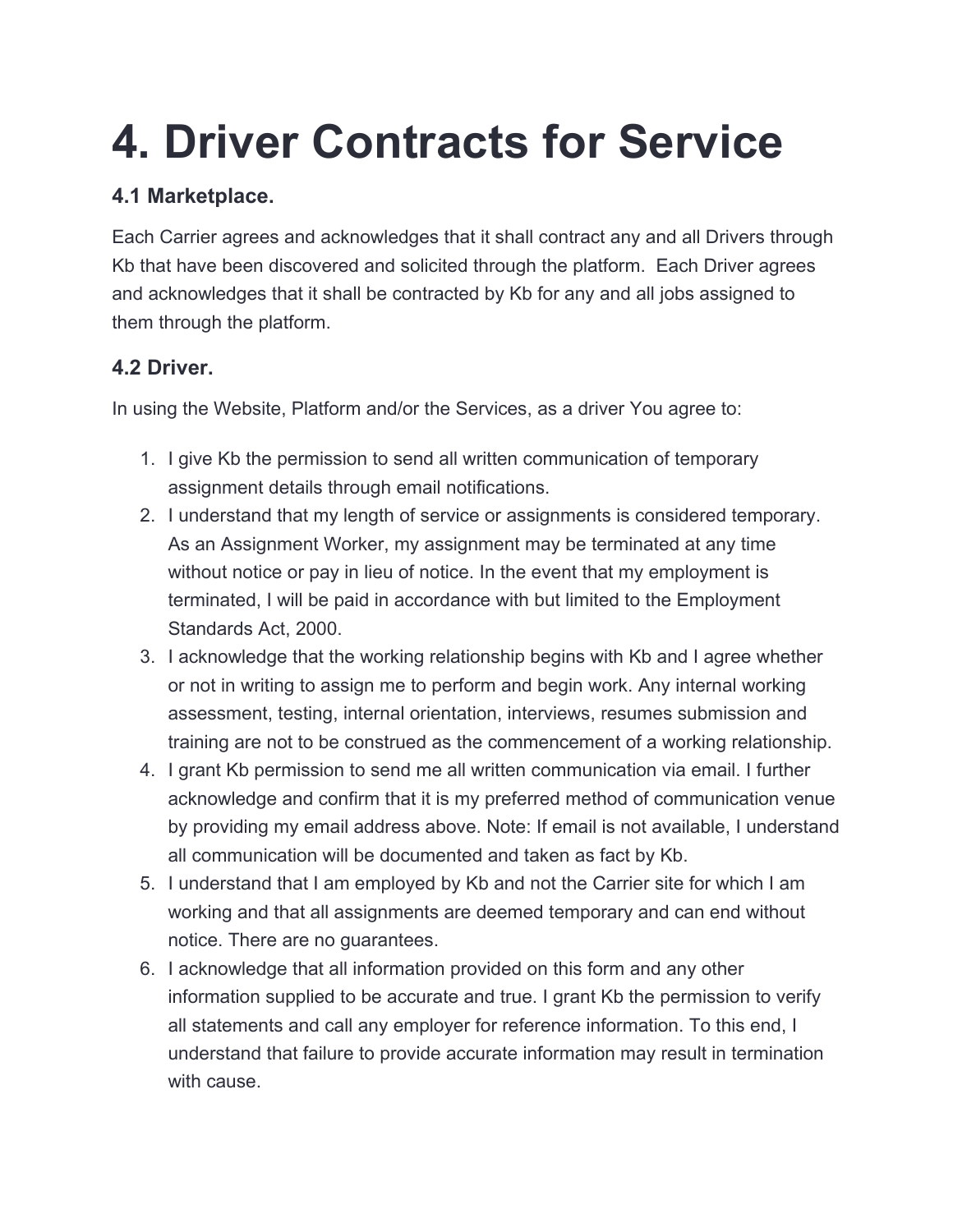### **4. Driver Contracts for Service**

#### **4.1 Marketplace.**

Each Carrier agrees and acknowledges that it shall contract any and all Drivers through Kb that have been discovered and solicited through the platform. Each Driver agrees and acknowledges that it shall be contracted by Kb for any and all jobs assigned to them through the platform.

#### **4.2 Driver.**

In using the Website, Platform and/or the Services, as a driver You agree to:

- 1. I give Kb the permission to send all written communication of temporary assignment details through email notifications.
- 2. I understand that my length of service or assignments is considered temporary. As an Assignment Worker, my assignment may be terminated at any time without notice or pay in lieu of notice. In the event that my employment is terminated, I will be paid in accordance with but limited to the Employment Standards Act, 2000.
- 3. I acknowledge that the working relationship begins with Kb and I agree whether or not in writing to assign me to perform and begin work. Any internal working assessment, testing, internal orientation, interviews, resumes submission and training are not to be construed as the commencement of a working relationship.
- 4. I grant Kb permission to send me all written communication via email. I further acknowledge and confirm that it is my preferred method of communication venue by providing my email address above. Note: If email is not available, I understand all communication will be documented and taken as fact by Kb.
- 5. I understand that I am employed by Kb and not the Carrier site for which I am working and that all assignments are deemed temporary and can end without notice. There are no guarantees.
- 6. I acknowledge that all information provided on this form and any other information supplied to be accurate and true. I grant Kb the permission to verify all statements and call any employer for reference information. To this end, I understand that failure to provide accurate information may result in termination with cause.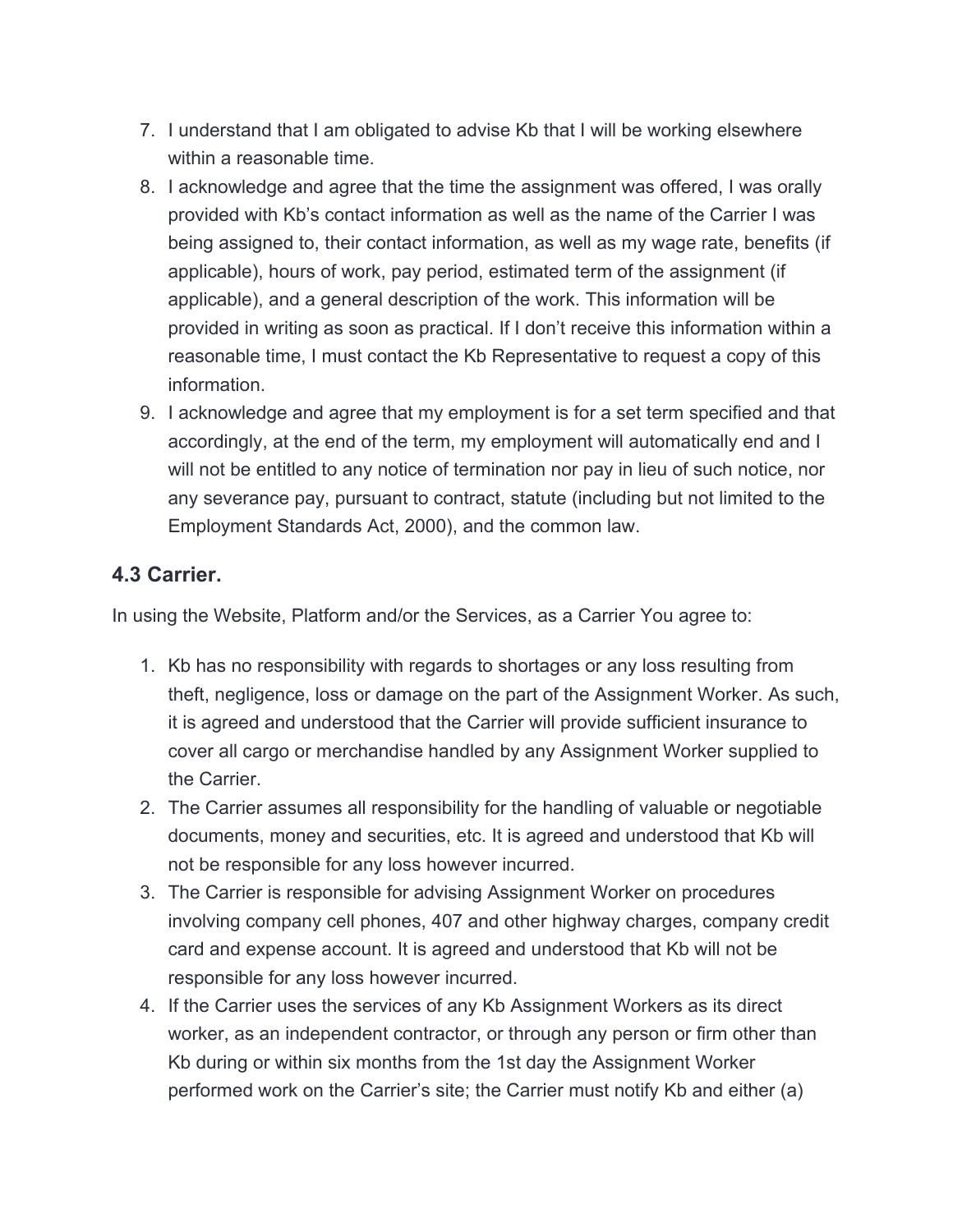- 7. I understand that I am obligated to advise Kb that I will be working elsewhere within a reasonable time.
- 8. I acknowledge and agree that the time the assignment was offered, I was orally provided with Kb's contact information as well as the name of the Carrier I was being assigned to, their contact information, as well as my wage rate, benefits (if applicable), hours of work, pay period, estimated term of the assignment (if applicable), and a general description of the work. This information will be provided in writing as soon as practical. If I don't receive this information within a reasonable time, I must contact the Kb Representative to request a copy of this information.
- 9. I acknowledge and agree that my employment is for a set term specified and that accordingly, at the end of the term, my employment will automatically end and I will not be entitled to any notice of termination nor pay in lieu of such notice, nor any severance pay, pursuant to contract, statute (including but not limited to the Employment Standards Act, 2000), and the common law.

#### **4.3 Carrier.**

In using the Website, Platform and/or the Services, as a Carrier You agree to:

- 1. Kb has no responsibility with regards to shortages or any loss resulting from theft, negligence, loss or damage on the part of the Assignment Worker. As such, it is agreed and understood that the Carrier will provide sufficient insurance to cover all cargo or merchandise handled by any Assignment Worker supplied to the Carrier.
- 2. The Carrier assumes all responsibility for the handling of valuable or negotiable documents, money and securities, etc. It is agreed and understood that Kb will not be responsible for any loss however incurred.
- 3. The Carrier is responsible for advising Assignment Worker on procedures involving company cell phones, 407 and other highway charges, company credit card and expense account. It is agreed and understood that Kb will not be responsible for any loss however incurred.
- 4. If the Carrier uses the services of any Kb Assignment Workers as its direct worker, as an independent contractor, or through any person or firm other than Kb during or within six months from the 1st day the Assignment Worker performed work on the Carrier's site; the Carrier must notify Kb and either (a)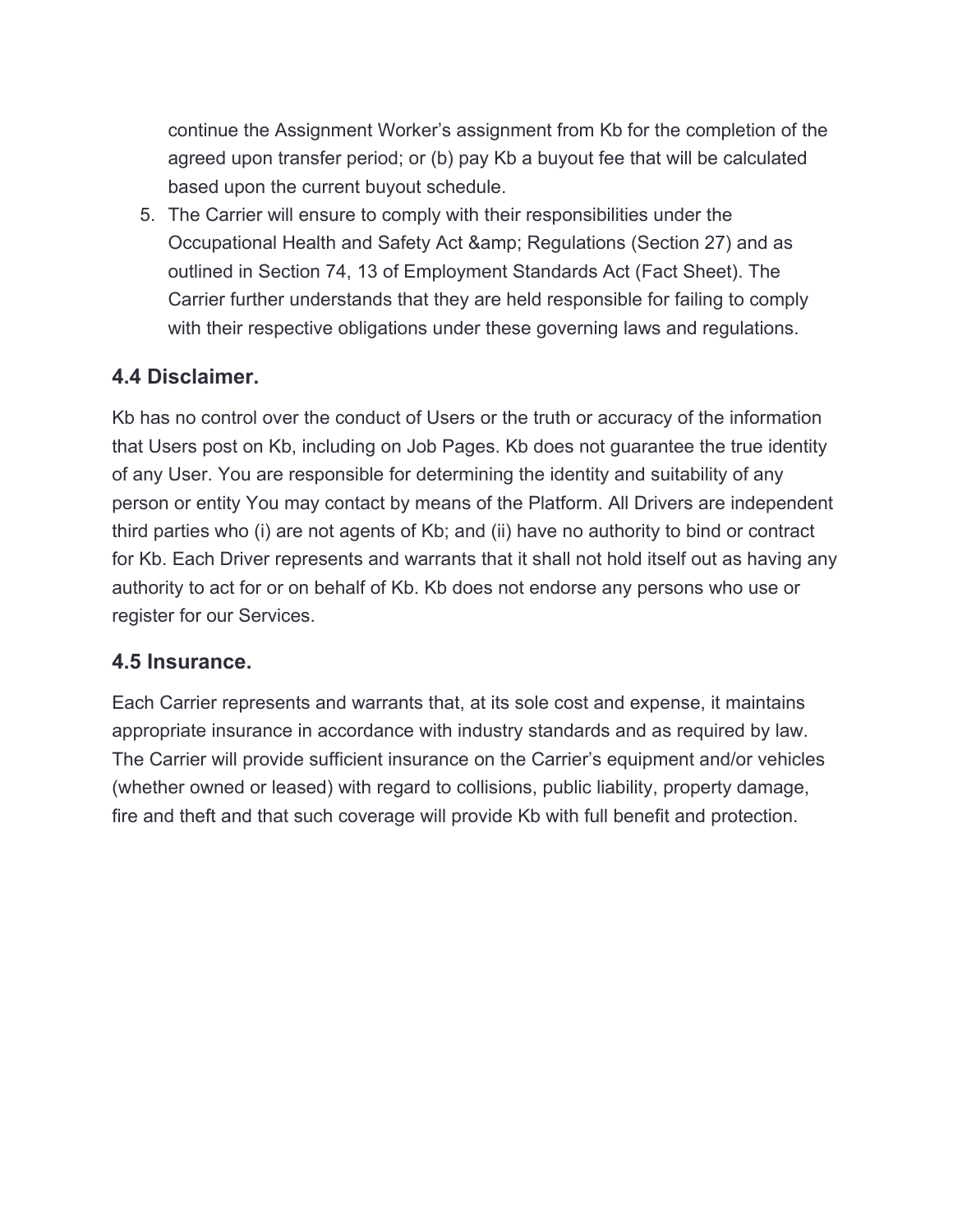continue the Assignment Worker's assignment from Kb for the completion of the agreed upon transfer period; or (b) pay Kb a buyout fee that will be calculated based upon the current buyout schedule.

5. The Carrier will ensure to comply with their responsibilities under the Occupational Health and Safety Act & amp; Regulations (Section 27) and as outlined in Section 74, 13 of Employment Standards Act (Fact Sheet). The Carrier further understands that they are held responsible for failing to comply with their respective obligations under these governing laws and regulations.

#### **4.4 Disclaimer.**

Kb has no control over the conduct of Users or the truth or accuracy of the information that Users post on Kb, including on Job Pages. Kb does not guarantee the true identity of any User. You are responsible for determining the identity and suitability of any person or entity You may contact by means of the Platform. All Drivers are independent third parties who (i) are not agents of Kb; and (ii) have no authority to bind or contract for Kb. Each Driver represents and warrants that it shall not hold itself out as having any authority to act for or on behalf of Kb. Kb does not endorse any persons who use or register for our Services.

#### **4.5 Insurance.**

Each Carrier represents and warrants that, at its sole cost and expense, it maintains appropriate insurance in accordance with industry standards and as required by law. The Carrier will provide sufficient insurance on the Carrier's equipment and/or vehicles (whether owned or leased) with regard to collisions, public liability, property damage, fire and theft and that such coverage will provide Kb with full benefit and protection.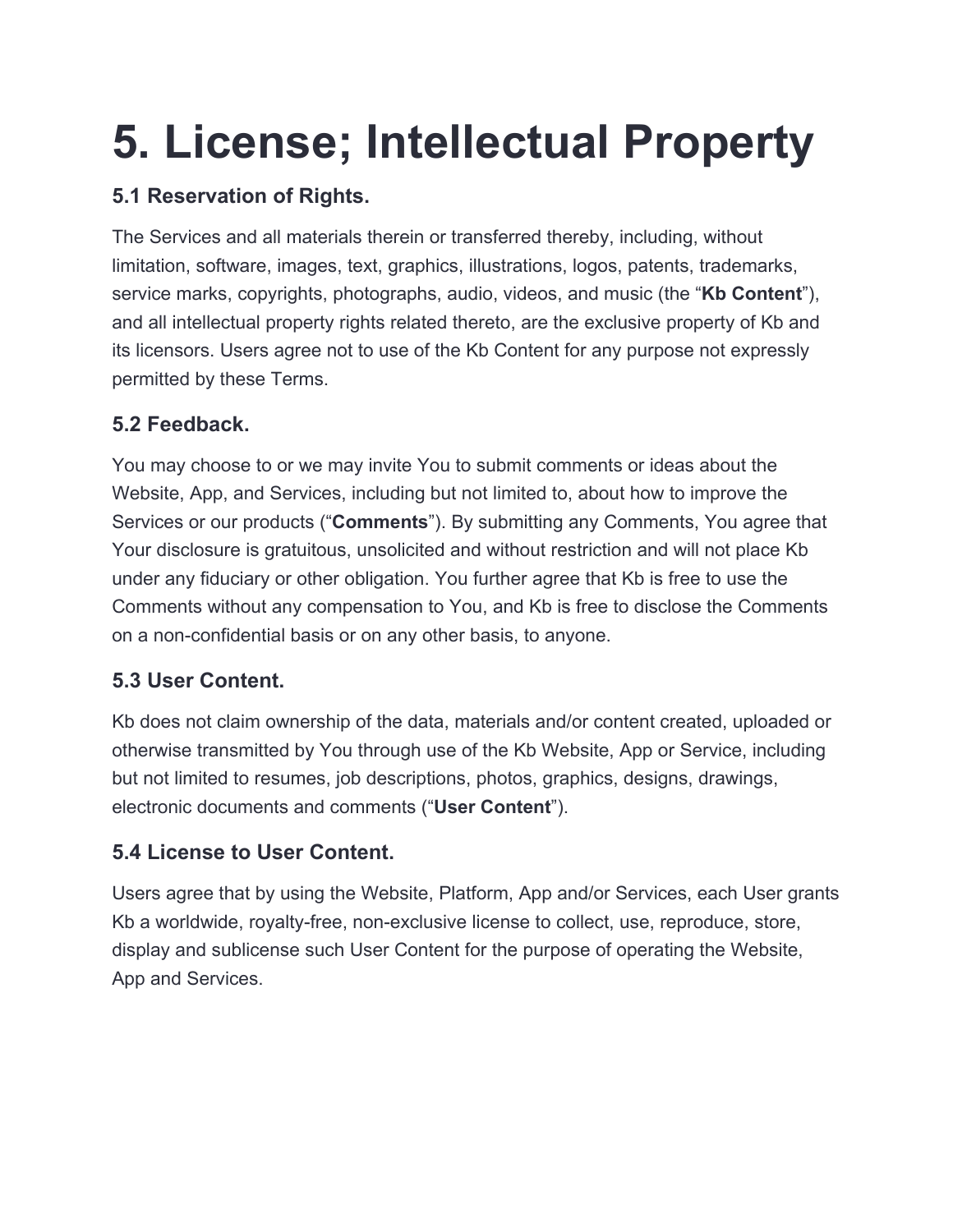### **5. License; Intellectual Property**

#### **5.1 Reservation of Rights.**

The Services and all materials therein or transferred thereby, including, without limitation, software, images, text, graphics, illustrations, logos, patents, trademarks, service marks, copyrights, photographs, audio, videos, and music (the "**Kb Content**"), and all intellectual property rights related thereto, are the exclusive property of Kb and its licensors. Users agree not to use of the Kb Content for any purpose not expressly permitted by these Terms.

#### **5.2 Feedback.**

You may choose to or we may invite You to submit comments or ideas about the Website, App, and Services, including but not limited to, about how to improve the Services or our products ("**Comments**"). By submitting any Comments, You agree that Your disclosure is gratuitous, unsolicited and without restriction and will not place Kb under any fiduciary or other obligation. You further agree that Kb is free to use the Comments without any compensation to You, and Kb is free to disclose the Comments on a non-confidential basis or on any other basis, to anyone.

#### **5.3 User Content.**

Kb does not claim ownership of the data, materials and/or content created, uploaded or otherwise transmitted by You through use of the Kb Website, App or Service, including but not limited to resumes, job descriptions, photos, graphics, designs, drawings, electronic documents and comments ("**User Content**").

#### **5.4 License to User Content.**

Users agree that by using the Website, Platform, App and/or Services, each User grants Kb a worldwide, royalty-free, non-exclusive license to collect, use, reproduce, store, display and sublicense such User Content for the purpose of operating the Website, App and Services.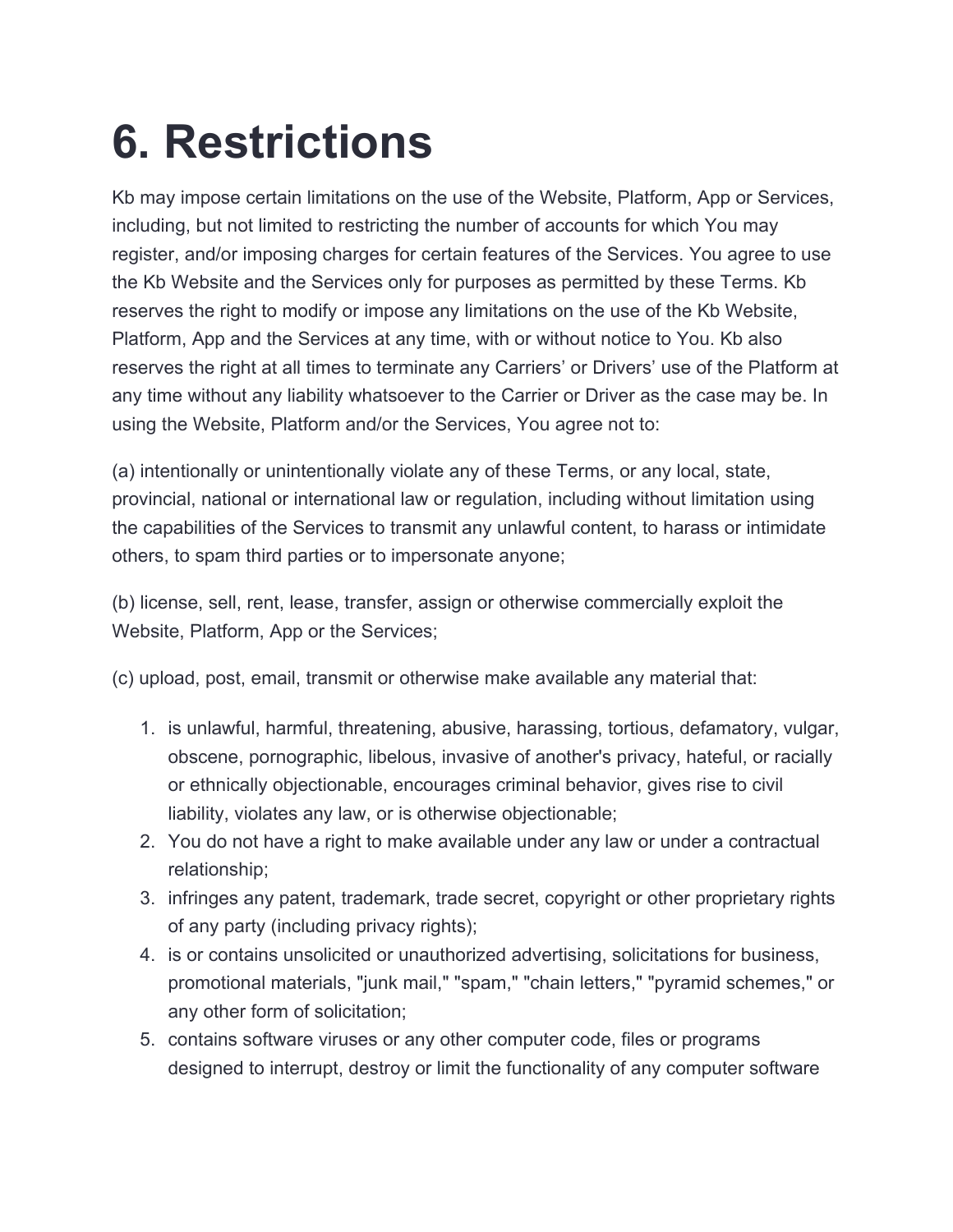### **6. Restrictions**

Kb may impose certain limitations on the use of the Website, Platform, App or Services, including, but not limited to restricting the number of accounts for which You may register, and/or imposing charges for certain features of the Services. You agree to use the Kb Website and the Services only for purposes as permitted by these Terms. Kb reserves the right to modify or impose any limitations on the use of the Kb Website, Platform, App and the Services at any time, with or without notice to You. Kb also reserves the right at all times to terminate any Carriers' or Drivers' use of the Platform at any time without any liability whatsoever to the Carrier or Driver as the case may be. In using the Website, Platform and/or the Services, You agree not to:

(a) intentionally or unintentionally violate any of these Terms, or any local, state, provincial, national or international law or regulation, including without limitation using the capabilities of the Services to transmit any unlawful content, to harass or intimidate others, to spam third parties or to impersonate anyone;

(b) license, sell, rent, lease, transfer, assign or otherwise commercially exploit the Website, Platform, App or the Services;

(c) upload, post, email, transmit or otherwise make available any material that:

- 1. is unlawful, harmful, threatening, abusive, harassing, tortious, defamatory, vulgar, obscene, pornographic, libelous, invasive of another's privacy, hateful, or racially or ethnically objectionable, encourages criminal behavior, gives rise to civil liability, violates any law, or is otherwise objectionable;
- 2. You do not have a right to make available under any law or under a contractual relationship;
- 3. infringes any patent, trademark, trade secret, copyright or other proprietary rights of any party (including privacy rights);
- 4. is or contains unsolicited or unauthorized advertising, solicitations for business, promotional materials, "junk mail," "spam," "chain letters," "pyramid schemes," or any other form of solicitation;
- 5. contains software viruses or any other computer code, files or programs designed to interrupt, destroy or limit the functionality of any computer software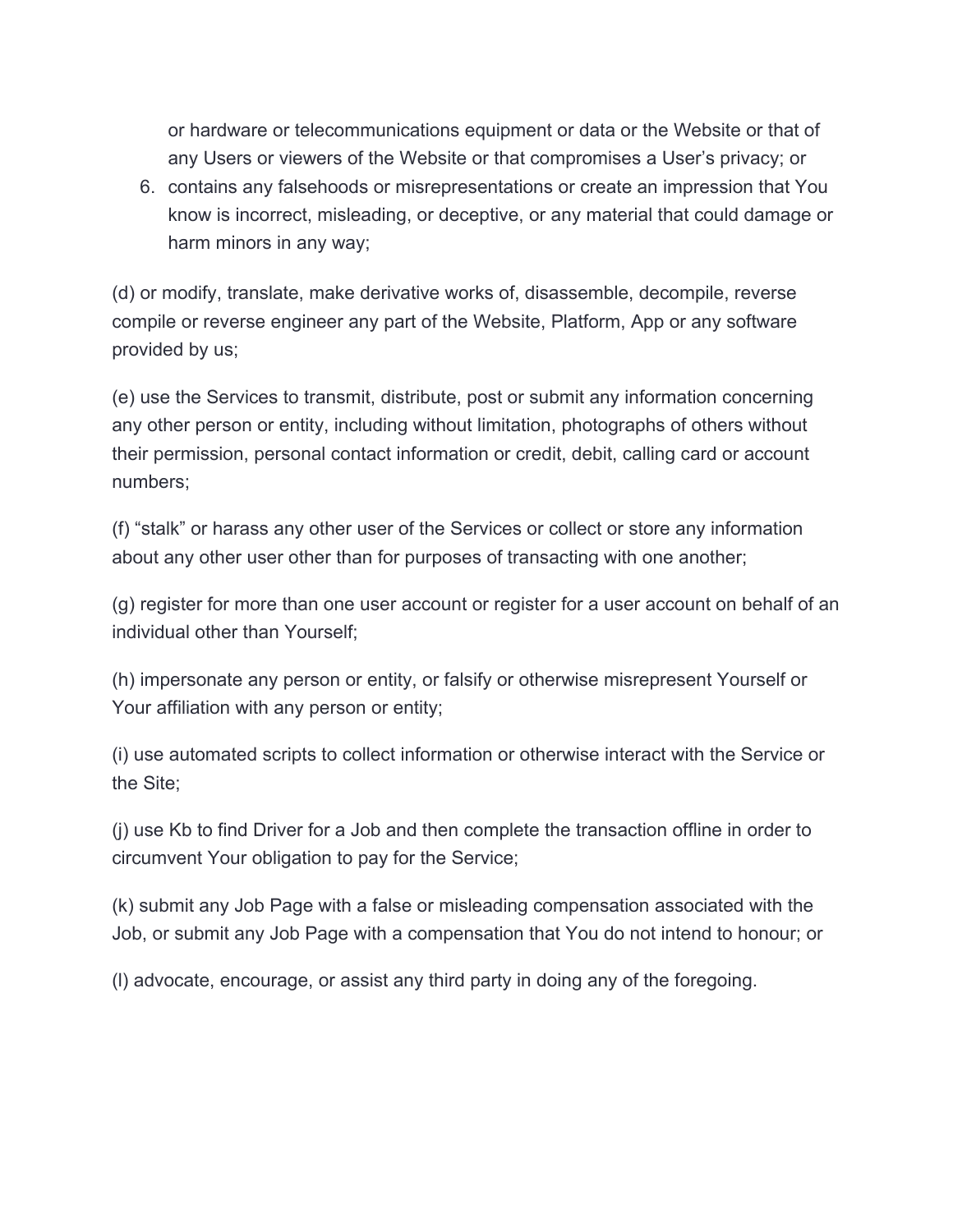or hardware or telecommunications equipment or data or the Website or that of any Users or viewers of the Website or that compromises a User's privacy; or

6. contains any falsehoods or misrepresentations or create an impression that You know is incorrect, misleading, or deceptive, or any material that could damage or harm minors in any way;

(d) or modify, translate, make derivative works of, disassemble, decompile, reverse compile or reverse engineer any part of the Website, Platform, App or any software provided by us;

(e) use the Services to transmit, distribute, post or submit any information concerning any other person or entity, including without limitation, photographs of others without their permission, personal contact information or credit, debit, calling card or account numbers;

(f) "stalk" or harass any other user of the Services or collect or store any information about any other user other than for purposes of transacting with one another;

(g) register for more than one user account or register for a user account on behalf of an individual other than Yourself;

(h) impersonate any person or entity, or falsify or otherwise misrepresent Yourself or Your affiliation with any person or entity;

(i) use automated scripts to collect information or otherwise interact with the Service or the Site;

(j) use Kb to find Driver for a Job and then complete the transaction offline in order to circumvent Your obligation to pay for the Service;

(k) submit any Job Page with a false or misleading compensation associated with the Job, or submit any Job Page with a compensation that You do not intend to honour; or

(l) advocate, encourage, or assist any third party in doing any of the foregoing.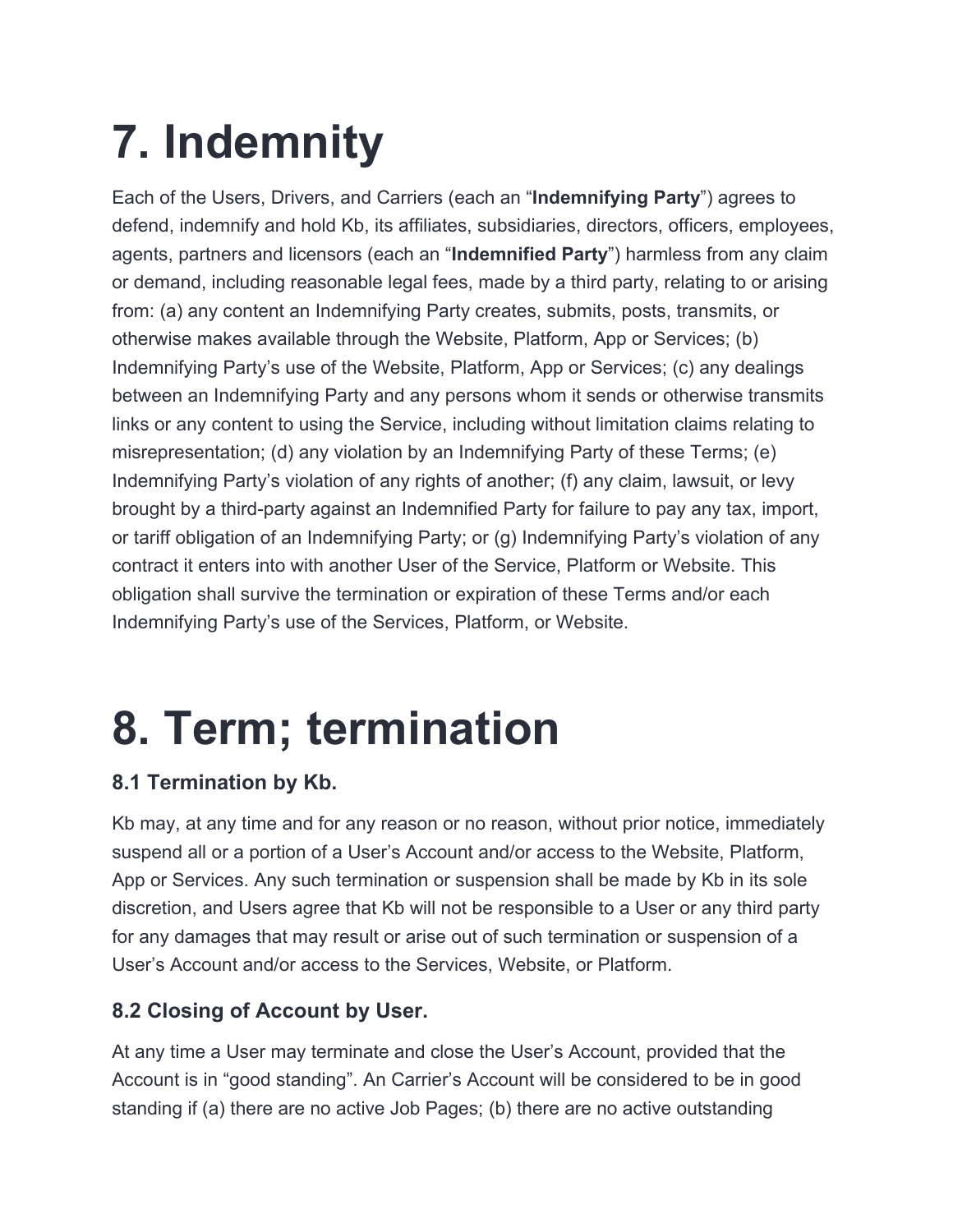## **7. Indemnity**

Each of the Users, Drivers, and Carriers (each an "**Indemnifying Party**") agrees to defend, indemnify and hold Kb, its affiliates, subsidiaries, directors, officers, employees, agents, partners and licensors (each an "**Indemnified Party**") harmless from any claim or demand, including reasonable legal fees, made by a third party, relating to or arising from: (a) any content an Indemnifying Party creates, submits, posts, transmits, or otherwise makes available through the Website, Platform, App or Services; (b) Indemnifying Party's use of the Website, Platform, App or Services; (c) any dealings between an Indemnifying Party and any persons whom it sends or otherwise transmits links or any content to using the Service, including without limitation claims relating to misrepresentation; (d) any violation by an Indemnifying Party of these Terms; (e) Indemnifying Party's violation of any rights of another; (f) any claim, lawsuit, or levy brought by a third-party against an Indemnified Party for failure to pay any tax, import, or tariff obligation of an Indemnifying Party; or (g) Indemnifying Party's violation of any contract it enters into with another User of the Service, Platform or Website. This obligation shall survive the termination or expiration of these Terms and/or each Indemnifying Party's use of the Services, Platform, or Website.

### **8. Term; termination**

#### **8.1 Termination by Kb.**

Kb may, at any time and for any reason or no reason, without prior notice, immediately suspend all or a portion of a User's Account and/or access to the Website, Platform, App or Services. Any such termination or suspension shall be made by Kb in its sole discretion, and Users agree that Kb will not be responsible to a User or any third party for any damages that may result or arise out of such termination or suspension of a User's Account and/or access to the Services, Website, or Platform.

#### **8.2 Closing of Account by User.**

At any time a User may terminate and close the User's Account, provided that the Account is in "good standing". An Carrier's Account will be considered to be in good standing if (a) there are no active Job Pages; (b) there are no active outstanding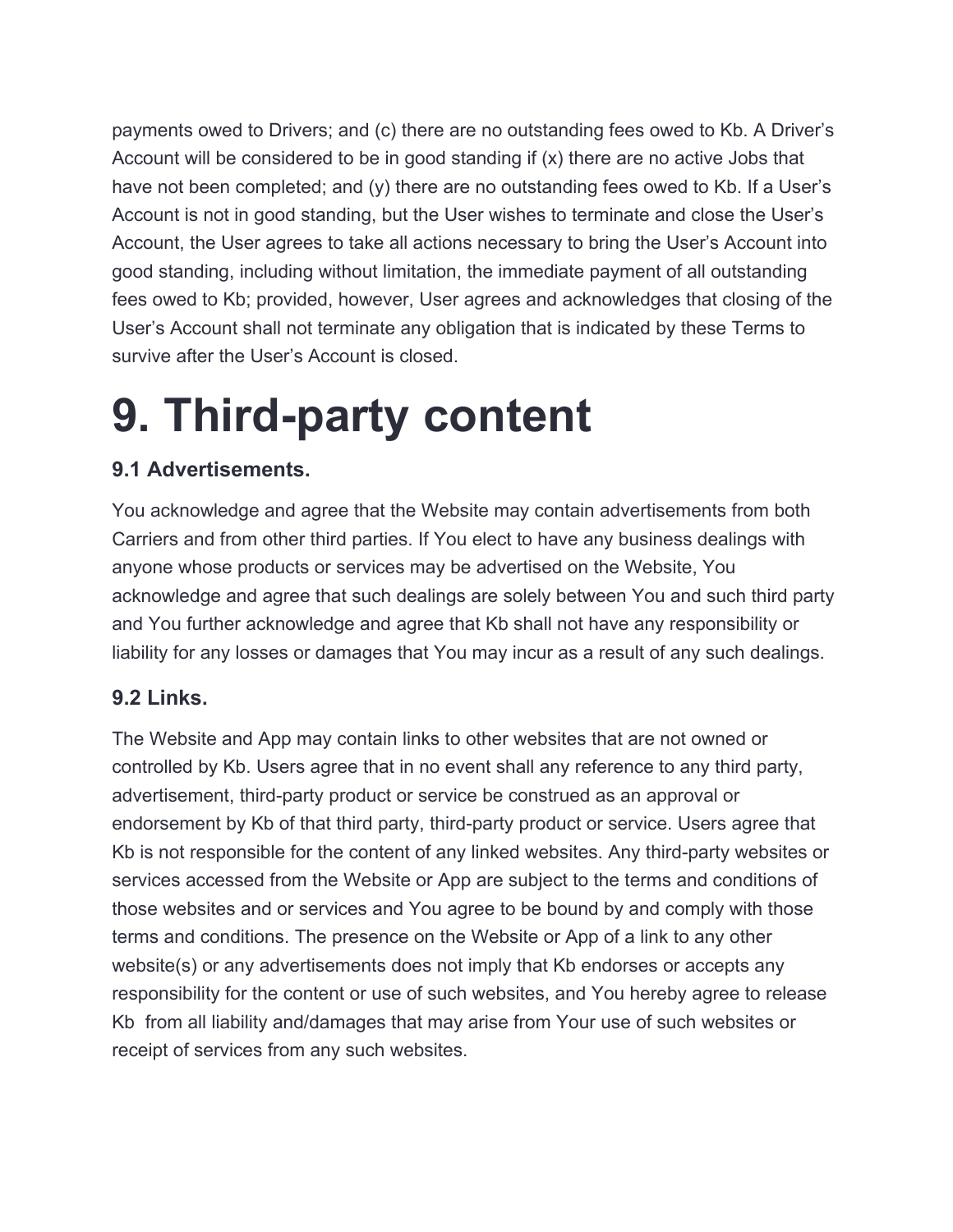payments owed to Drivers; and (c) there are no outstanding fees owed to Kb. A Driver's Account will be considered to be in good standing if (x) there are no active Jobs that have not been completed; and (y) there are no outstanding fees owed to Kb. If a User's Account is not in good standing, but the User wishes to terminate and close the User's Account, the User agrees to take all actions necessary to bring the User's Account into good standing, including without limitation, the immediate payment of all outstanding fees owed to Kb; provided, however, User agrees and acknowledges that closing of the User's Account shall not terminate any obligation that is indicated by these Terms to survive after the User's Account is closed.

### **9. Third-party content**

#### **9.1 Advertisements.**

You acknowledge and agree that the Website may contain advertisements from both Carriers and from other third parties. If You elect to have any business dealings with anyone whose products or services may be advertised on the Website, You acknowledge and agree that such dealings are solely between You and such third party and You further acknowledge and agree that Kb shall not have any responsibility or liability for any losses or damages that You may incur as a result of any such dealings.

#### **9.2 Links.**

The Website and App may contain links to other websites that are not owned or controlled by Kb. Users agree that in no event shall any reference to any third party, advertisement, third-party product or service be construed as an approval or endorsement by Kb of that third party, third-party product or service. Users agree that Kb is not responsible for the content of any linked websites. Any third-party websites or services accessed from the Website or App are subject to the terms and conditions of those websites and or services and You agree to be bound by and comply with those terms and conditions. The presence on the Website or App of a link to any other website(s) or any advertisements does not imply that Kb endorses or accepts any responsibility for the content or use of such websites, and You hereby agree to release Kb from all liability and/damages that may arise from Your use of such websites or receipt of services from any such websites.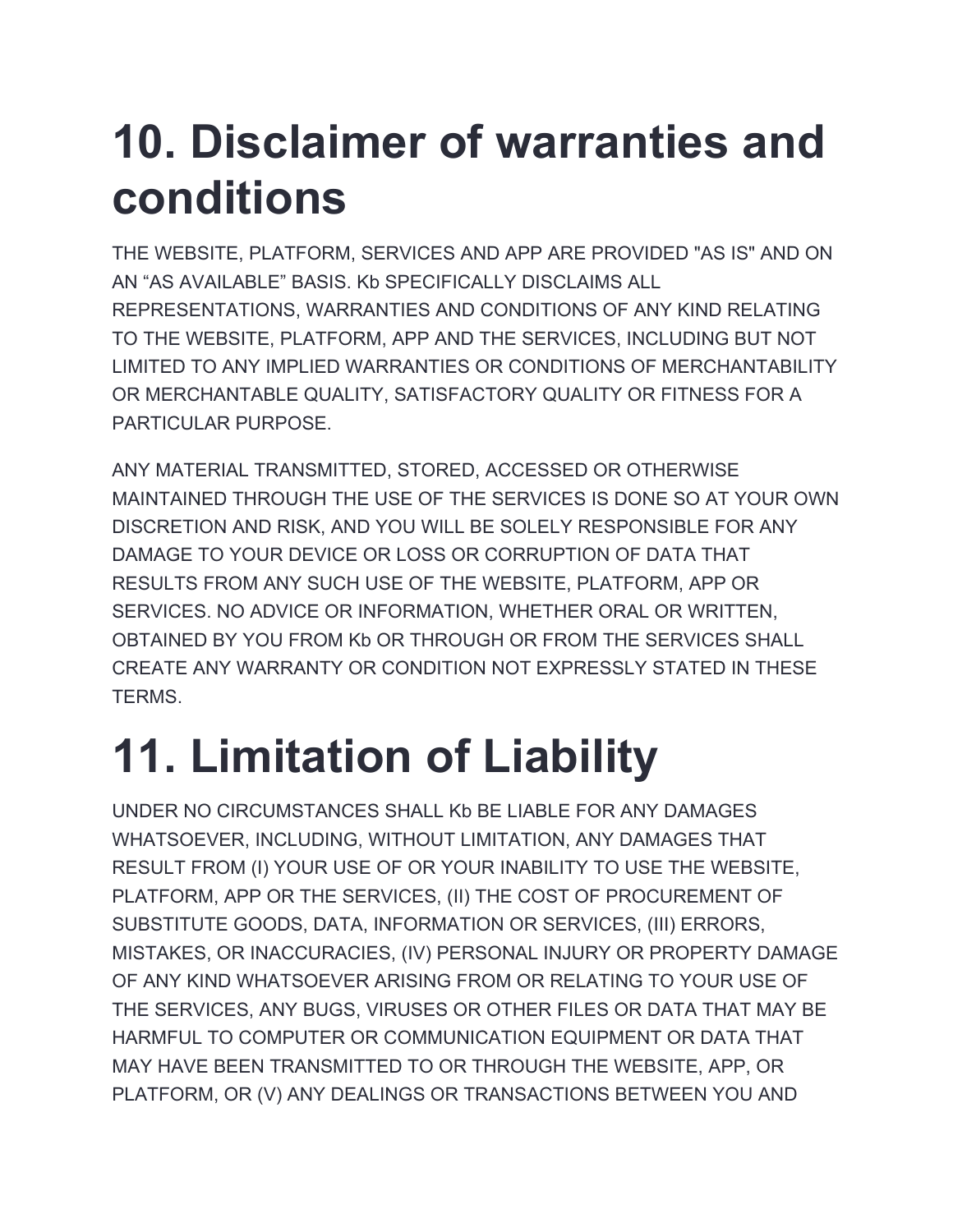### **10. Disclaimer of warranties and conditions**

THE WEBSITE, PLATFORM, SERVICES AND APP ARE PROVIDED "AS IS" AND ON AN "AS AVAILABLE" BASIS. Kb SPECIFICALLY DISCLAIMS ALL REPRESENTATIONS, WARRANTIES AND CONDITIONS OF ANY KIND RELATING TO THE WEBSITE, PLATFORM, APP AND THE SERVICES, INCLUDING BUT NOT LIMITED TO ANY IMPLIED WARRANTIES OR CONDITIONS OF MERCHANTABILITY OR MERCHANTABLE QUALITY, SATISFACTORY QUALITY OR FITNESS FOR A PARTICULAR PURPOSE

ANY MATERIAL TRANSMITTED, STORED, ACCESSED OR OTHERWISE MAINTAINED THROUGH THE USE OF THE SERVICES IS DONE SO AT YOUR OWN DISCRETION AND RISK, AND YOU WILL BE SOLELY RESPONSIBLE FOR ANY DAMAGE TO YOUR DEVICE OR LOSS OR CORRUPTION OF DATA THAT RESULTS FROM ANY SUCH USE OF THE WEBSITE, PLATFORM, APP OR SERVICES. NO ADVICE OR INFORMATION, WHETHER ORAL OR WRITTEN, OBTAINED BY YOU FROM Kb OR THROUGH OR FROM THE SERVICES SHALL CREATE ANY WARRANTY OR CONDITION NOT EXPRESSLY STATED IN THESE TERMS.

## **11. Limitation of Liability**

UNDER NO CIRCUMSTANCES SHALL Kb BE LIABLE FOR ANY DAMAGES WHATSOEVER, INCLUDING, WITHOUT LIMITATION, ANY DAMAGES THAT RESULT FROM (I) YOUR USE OF OR YOUR INABILITY TO USE THE WEBSITE, PLATFORM, APP OR THE SERVICES, (II) THE COST OF PROCUREMENT OF SUBSTITUTE GOODS, DATA, INFORMATION OR SERVICES, (III) ERRORS, MISTAKES, OR INACCURACIES, (IV) PERSONAL INJURY OR PROPERTY DAMAGE OF ANY KIND WHATSOEVER ARISING FROM OR RELATING TO YOUR USE OF THE SERVICES, ANY BUGS, VIRUSES OR OTHER FILES OR DATA THAT MAY BE HARMFUL TO COMPUTER OR COMMUNICATION EQUIPMENT OR DATA THAT MAY HAVE BEEN TRANSMITTED TO OR THROUGH THE WEBSITE, APP, OR PLATFORM, OR (V) ANY DEALINGS OR TRANSACTIONS BETWEEN YOU AND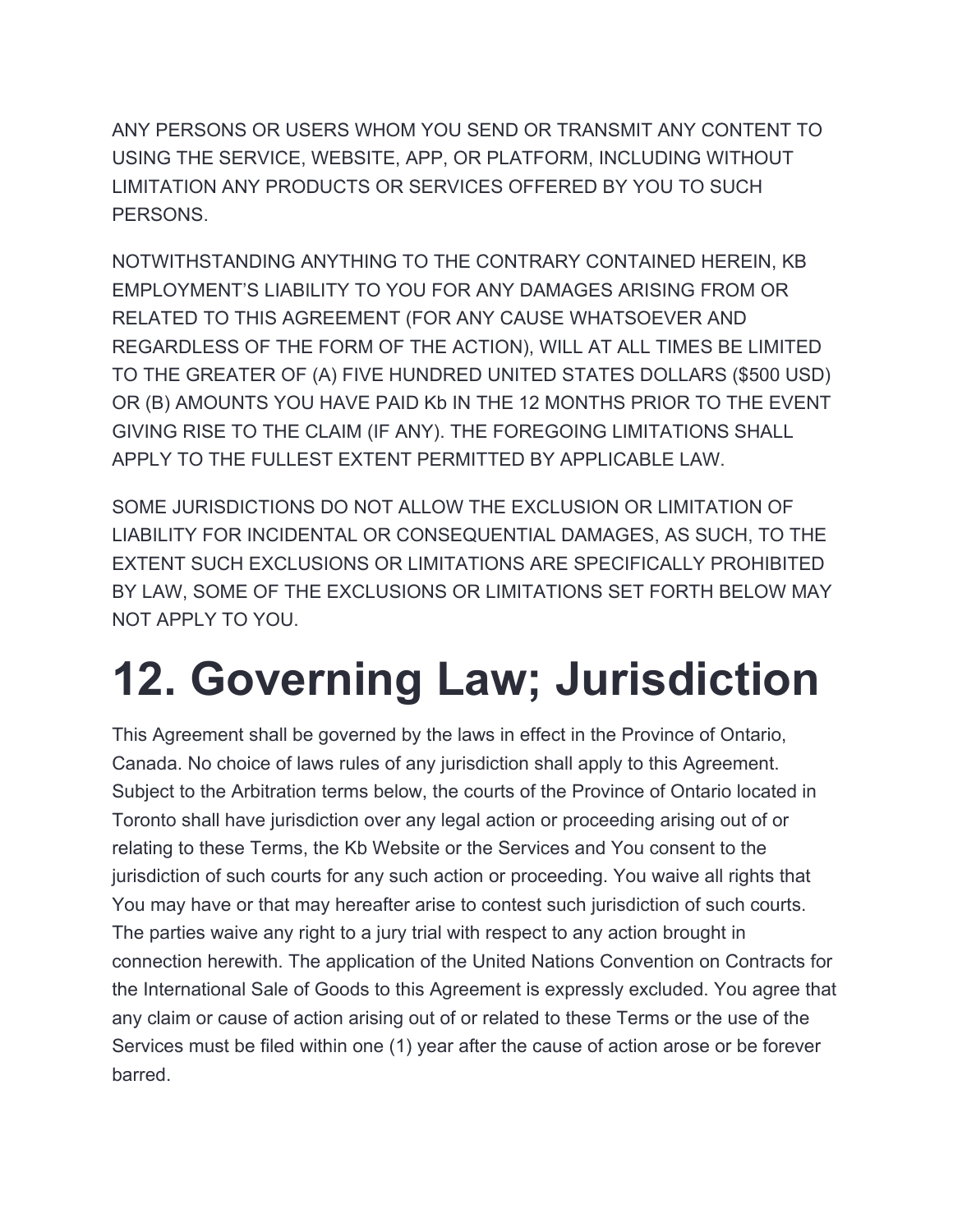ANY PERSONS OR USERS WHOM YOU SEND OR TRANSMIT ANY CONTENT TO USING THE SERVICE, WEBSITE, APP, OR PLATFORM, INCLUDING WITHOUT LIMITATION ANY PRODUCTS OR SERVICES OFFERED BY YOU TO SUCH PERSONS.

NOTWITHSTANDING ANYTHING TO THE CONTRARY CONTAINED HEREIN, KB EMPLOYMENT'S LIABILITY TO YOU FOR ANY DAMAGES ARISING FROM OR RELATED TO THIS AGREEMENT (FOR ANY CAUSE WHATSOEVER AND REGARDLESS OF THE FORM OF THE ACTION), WILL AT ALL TIMES BE LIMITED TO THE GREATER OF (A) FIVE HUNDRED UNITED STATES DOLLARS (\$500 USD) OR (B) AMOUNTS YOU HAVE PAID Kb IN THE 12 MONTHS PRIOR TO THE EVENT GIVING RISE TO THE CLAIM (IF ANY). THE FOREGOING LIMITATIONS SHALL APPLY TO THE FULLEST EXTENT PERMITTED BY APPLICABLE LAW.

SOME JURISDICTIONS DO NOT ALLOW THE EXCLUSION OR LIMITATION OF LIABILITY FOR INCIDENTAL OR CONSEQUENTIAL DAMAGES, AS SUCH, TO THE EXTENT SUCH EXCLUSIONS OR LIMITATIONS ARE SPECIFICALLY PROHIBITED BY LAW, SOME OF THE EXCLUSIONS OR LIMITATIONS SET FORTH BELOW MAY NOT APPLY TO YOU.

### **12. Governing Law; Jurisdiction**

This Agreement shall be governed by the laws in effect in the Province of Ontario, Canada. No choice of laws rules of any jurisdiction shall apply to this Agreement. Subject to the Arbitration terms below, the courts of the Province of Ontario located in Toronto shall have jurisdiction over any legal action or proceeding arising out of or relating to these Terms, the Kb Website or the Services and You consent to the jurisdiction of such courts for any such action or proceeding. You waive all rights that You may have or that may hereafter arise to contest such jurisdiction of such courts. The parties waive any right to a jury trial with respect to any action brought in connection herewith. The application of the United Nations Convention on Contracts for the International Sale of Goods to this Agreement is expressly excluded. You agree that any claim or cause of action arising out of or related to these Terms or the use of the Services must be filed within one (1) year after the cause of action arose or be forever barred.